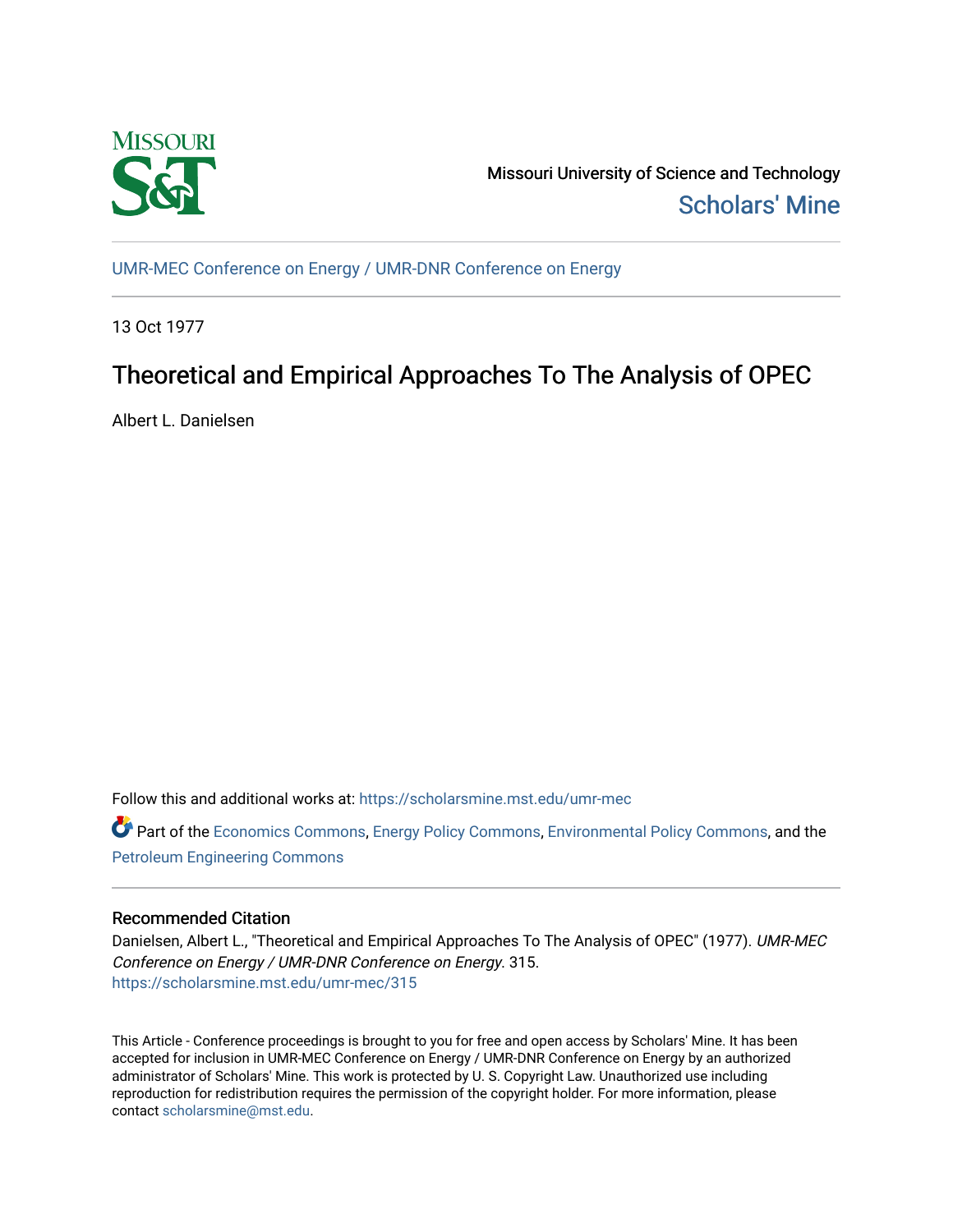

Missouri University of Science and Technology [Scholars' Mine](https://scholarsmine.mst.edu/) 

[UMR-MEC Conference on Energy / UMR-DNR Conference on Energy](https://scholarsmine.mst.edu/umr-mec)

13 Oct 1977

# Theoretical and Empirical Approaches To The Analysis of OPEC

Albert L. Danielsen

Follow this and additional works at: [https://scholarsmine.mst.edu/umr-mec](https://scholarsmine.mst.edu/umr-mec?utm_source=scholarsmine.mst.edu%2Fumr-mec%2F315&utm_medium=PDF&utm_campaign=PDFCoverPages) 

Part of the [Economics Commons](http://network.bepress.com/hgg/discipline/340?utm_source=scholarsmine.mst.edu%2Fumr-mec%2F315&utm_medium=PDF&utm_campaign=PDFCoverPages), [Energy Policy Commons,](http://network.bepress.com/hgg/discipline/1065?utm_source=scholarsmine.mst.edu%2Fumr-mec%2F315&utm_medium=PDF&utm_campaign=PDFCoverPages) [Environmental Policy Commons,](http://network.bepress.com/hgg/discipline/1027?utm_source=scholarsmine.mst.edu%2Fumr-mec%2F315&utm_medium=PDF&utm_campaign=PDFCoverPages) and the [Petroleum Engineering Commons](http://network.bepress.com/hgg/discipline/245?utm_source=scholarsmine.mst.edu%2Fumr-mec%2F315&utm_medium=PDF&utm_campaign=PDFCoverPages)

# Recommended Citation

Danielsen, Albert L., "Theoretical and Empirical Approaches To The Analysis of OPEC" (1977). UMR-MEC Conference on Energy / UMR-DNR Conference on Energy. 315. [https://scholarsmine.mst.edu/umr-mec/315](https://scholarsmine.mst.edu/umr-mec/315?utm_source=scholarsmine.mst.edu%2Fumr-mec%2F315&utm_medium=PDF&utm_campaign=PDFCoverPages) 

This Article - Conference proceedings is brought to you for free and open access by Scholars' Mine. It has been accepted for inclusion in UMR-MEC Conference on Energy / UMR-DNR Conference on Energy by an authorized administrator of Scholars' Mine. This work is protected by U. S. Copyright Law. Unauthorized use including reproduction for redistribution requires the permission of the copyright holder. For more information, please contact [scholarsmine@mst.edu](mailto:scholarsmine@mst.edu).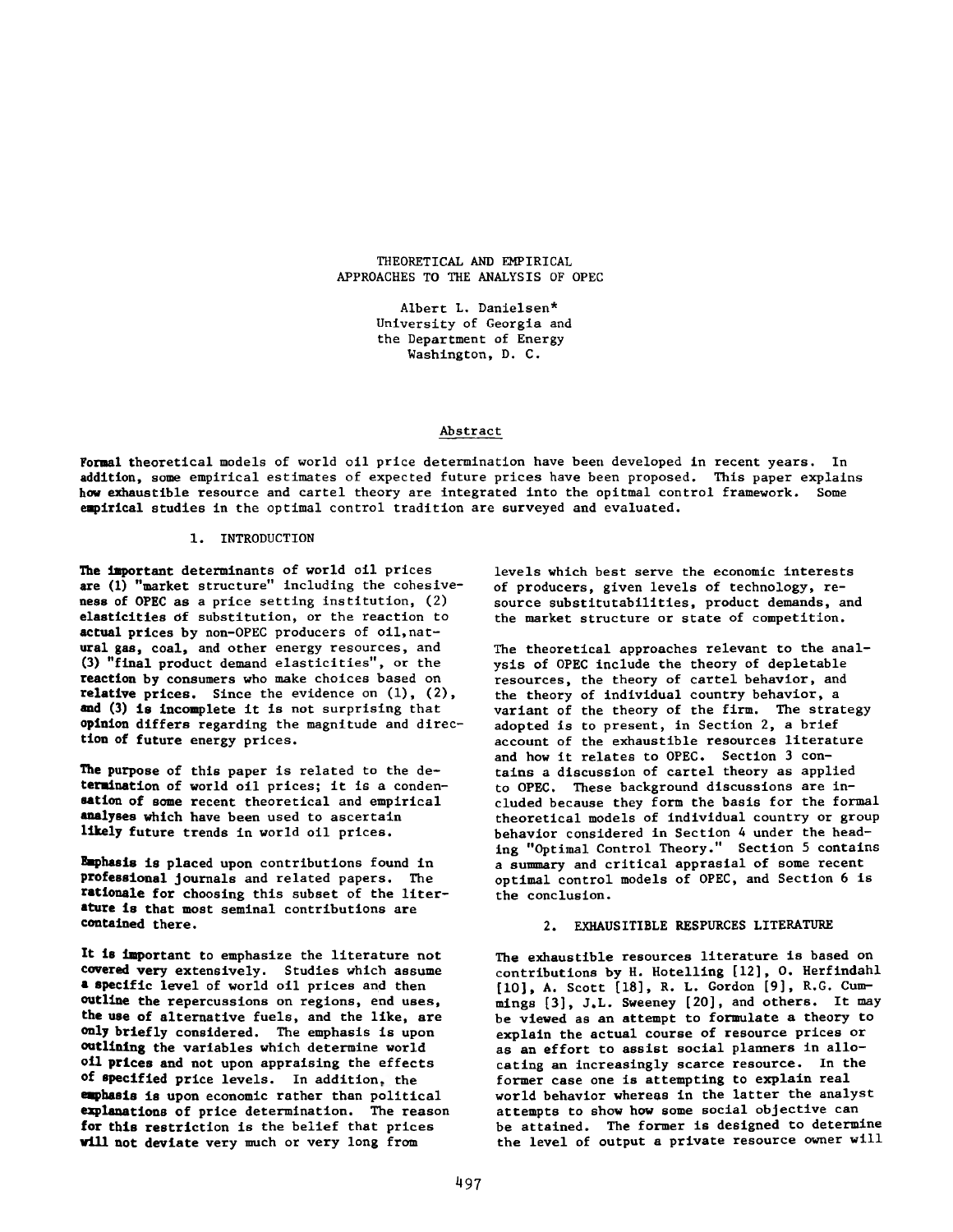THEORETICAL AND EMPIRICAL APPROACHES TO THE ANALYSIS OF OPEC

> Albert L. Danielsen\* University of Georgia and the Department of Energy Washington, D. C.

# Abstract

Formal theoretical models of world oil price determination have been developed in recent years. In addition, some empirical estimates of expected future prices have been proposed. This paper explains how exhaustible resource and cartel theory are integrated into the opitmal control framework. Some empirical studies in the optimal control tradition are surveyed and evaluated.

## 1. INTRODUCTION

**The** Important determinants of world oil prices are (1) "market structure" including the cohesiveness of OPEC as a price setting institution, (2) elasticities of substitution, or the reaction to actual prices by non-OPEC producers of oil,natural gas, coal, and other energy resources, and **(3)** "final product demand elasticities", or the reaction **by** consumers who make choices based on relative prices. Since the evidence on  $(1)$ ,  $(2)$ , **and (3) is** incomplete it is not surprising that opinion differs regarding the magnitude and direction of future energy prices.

**The purpose** of this paper is related to the de**termination** of world oil prices; it is a conden**sation of some** recent theoretical and empirical **analyses** which have been used to ascertain **likely** future trends in world oil prices.

**Emphasis is** placed upon contributions found in **professional** journals and related papers. The **rationale for** choosing this subset of the liter**ature is that** most seminal contributions are **contained there.**

**It is** important to emphasize the literature not **covered** very extensively. Studies which assume **a specific** level of world oil prices and then **outline** the repercussions on regions, end uses, **the use of** alternative fuels, and the like, are **only briefly** considered. The emphasis is upon **outlining** the variables which determine world **oil prices and** not upon appraising the effects **of specified** price levels. In addition, the **emphasis is** upon economic rather than political **explanations of** price determination. The reason **for this** restriction is the belief that prices **will not deviate** very much or very long from

levels which best serve the economic interests of producers, given levels of technology, resource substitutabilities, product demands, and the market structure or state of competition.

The theoretical approaches relevant to the analysis of OPEC include the theory of depletable resources, the theory of cartel behavior, and the theory of individual country behavior, a variant of the theory of the firm. The strategy adopted is to present, in Section 2, a brief account of the exhaustible resources literature and how it relates to OPEC. Section 3 contains a discussion of cartel theory as applied to OPEC. These background discussions are included because they form the basis for the formal theoretical models of individual country or group behavior considered in Section 4 under the heading "Optimal Control Theory." Section 5 contains a summary and critical apprasial of some recent optimal control models of OPEC, and Section 6 is the conclusion.

# 2. EXHAUSITIBLE RESPURCES LITERATURE

The exhaustible resources literature is based on contributions by H. Hotelling [12], 0. Herfindahl [10], A. Scott [18], R. L. Gordon [9], R.G. Cummings [3], J.L. Sweeney [20], and others. It may be viewed as an attempt to formulate a theory to explain the actual course of resource prices or as an effort to assist social planners in allocating an increasingly scarce resource. In the former case one is attempting to explain real world behavior whereas in the latter the analyst attempts to show how some social objective can be attained. The former is designed to determine the level of output a private resource owner will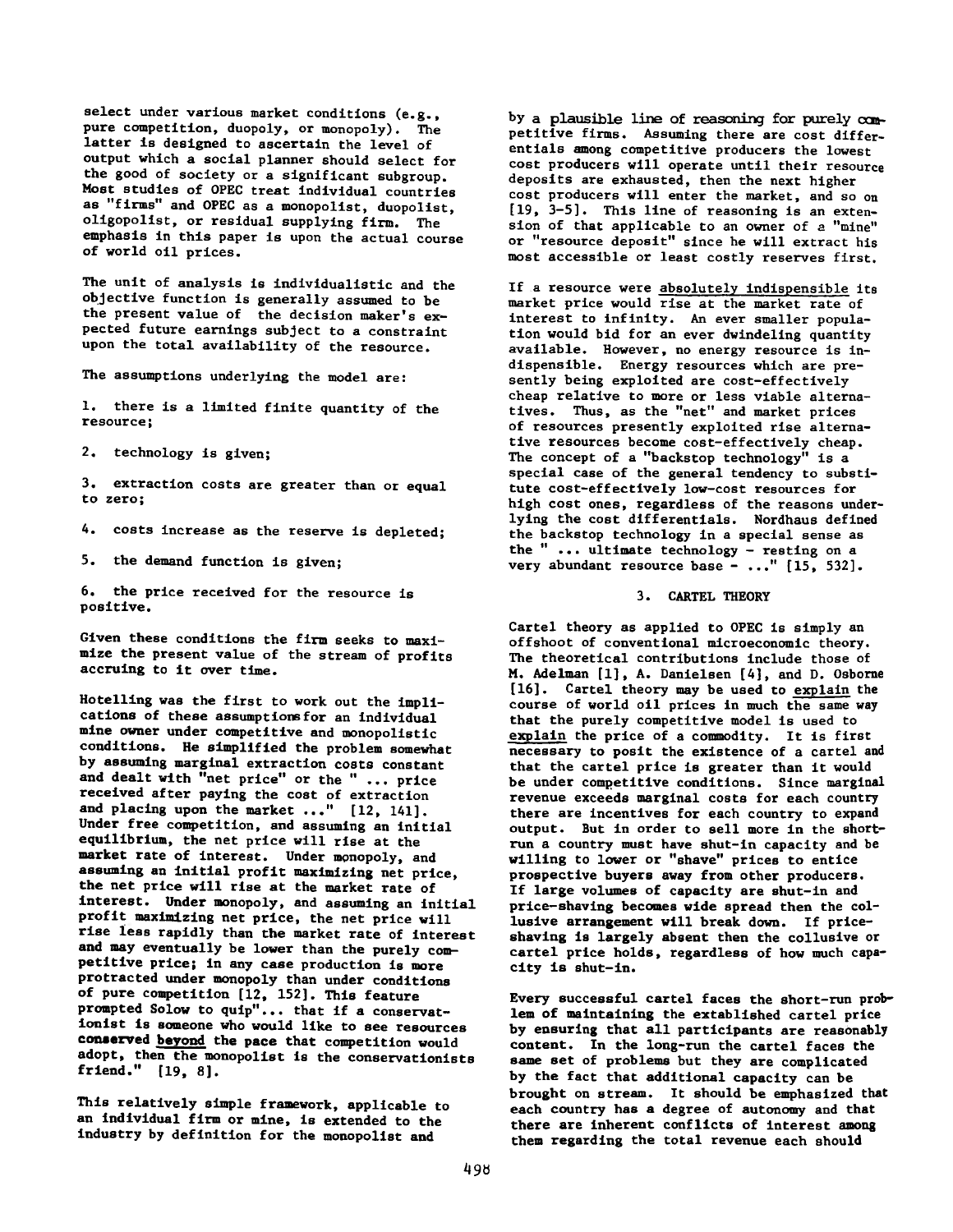select under various market conditions (e.g., pure competition, duopoly, or monopoly). The latter is designed to ascertain the level of output which a social planner should select for the good of society or a significant subgroup. Most studies of OPEC treat individual countries as "firms" and OPEC as a monopolist, duopolist, oligopolist, or residual supplying firm. The emphasis in this paper is upon the actual course of world oil prices.

The unit of analysis is individualistic and the objective function is generally assumed to be the present value of the decision maker's expected future earnings subject to a constraint upon the total availability of the resource.

The assumptions underlying the model are:

1. there is a limited finite quantity of the resource;

2. technology is given;

3. extraction costs are greater than or equal to zero;

4. costs increase as the reserve is depleted;

5. the demand function is given;

6. the price received for the resource is positive.

Given these conditions the firm seeks to maximize the present value of the stream of profits accruing to it over time.

Hotelling was the first to work out the implications of these assumptions for an individual mine owner under competitive and monopolistic conditions. He simplified the problem somewhat by assuming marginal extraction costs constant and dealt with "net price" or the " ... price received after paying the cost of extraction and placing upon the market ..." [12, 141]. Under free competition, and assuming an initial equilibrium, the net price will rise at the market rate of interest. Under monopoly, and assuming an initial profit maximizing net price, the net price will rise at the market rate of interest. Under monopoly, and assuming an initial profit maximizing net price, the net price will rise less rapidly than the market rate of interest and may eventually be lower than the purely competitive price; in any case production is more protracted under monopoly than under conditions of pure competition [12, 152]. This feature prompted Solow to quip"... that if a conservationist is someone who would like to see resources **conserved beyond** the pace that competition would adopt, then the monopolist is the conservationists friend." [19, 8].

This relatively simple framework, applicable to an individual firm or mine, is extended to the industry by definition for the monopolist and

by a plausible line of reasoning for purely ocmpetitive firms. Assuming there are cost differentials among competitive producers the lowest cost producers will operate until their resource deposits are exhausted, then the next higher cost producers will enter the market, and so on [19, 3-5]. This line of reasoning is an extension of that applicable to an owner of a "mine" or "resource deposit" since he will extract his most accessible or least costly reserves first.

If a resource were absolutely indispensible its market price would rise at the market rate of interest to infinity. An ever smaller population would bid for an ever dwindeling quantity available. However, no energy resource is indispensible. Energy resources which are presently being exploited are cost-effectively cheap relative to more or less viable alternatives. Thus, as the "net" and market prices of resources presently exploited rise alternative resources become cost-effectively cheap. The concept of a "backstop technology" is a special case of the general tendency to substitute cost-effectively low-cost resources for high cost ones, regardless of the reasons underlying the cost differentials. Nordhaus defined the backstop technology in a special sense as the " ... ultimate technology - resting on a very abundant resource base - ..." [15, 532].

#### 3. CARTEL THEORY

Cartel theory as applied to OPEC is simply an offshoot of conventional microeconomic theory. The theoretical contributions include those of M. Adelman [1], A. Danielsen [4], and D. Osborne [16]. Cartel theory may be used to explain the course of world oil prices in much the same way that the purely competitive model is used to explain the price of a commodity. It is first necessary to posit the existence of a cartel and that the cartel price is greater than it would be under competitive conditions. Since marginal revenue exceeds marginal costs for each country there are incentives for each country to expand output. But in order to sell more in the shortrun a country must have shut-in capacity and be willing to lower or "shave" prices to entice prospective buyers away from other producers. If large volumes of capacity are shut-in and price— shaving becomes wide spread then the collusive arrangement will break down. If priceshaving is largely absent then the collusive or cartel price holds, regardless of how much capacity is shut-in.

Every successful cartel faces the short-run problem of maintaining the extablished cartel price by ensuring that all participants are reasonably content. In the long-run the cartel faces the same set of problems but they are complicated by the fact that additional capacity can be brought on stream. It should be emphasized that each country has a degree of autonomy and that there are inherent conflicts of interest among them regarding the total revenue each should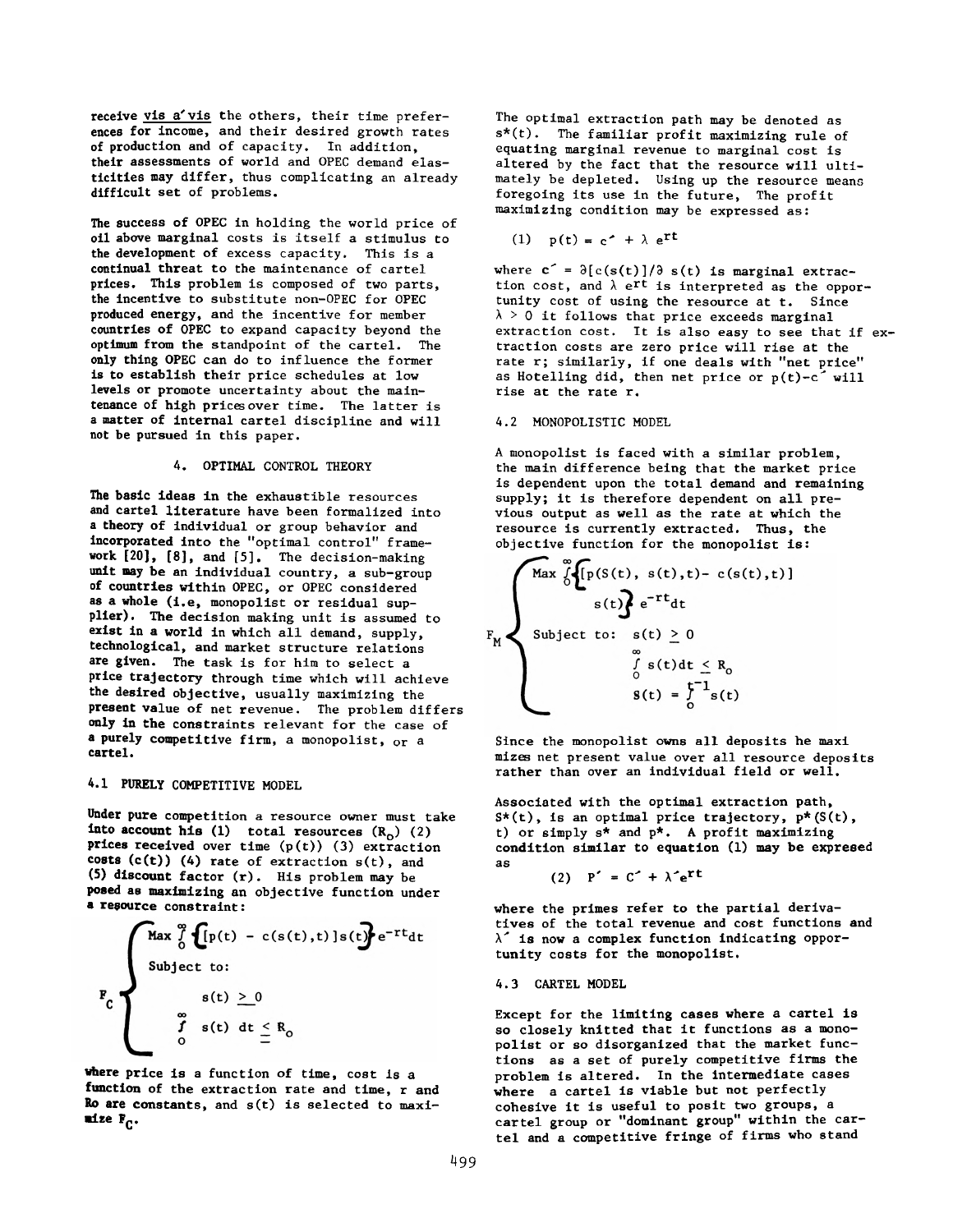receive vis a'vis the others, their time preferences for income, and their desired growth rates of production and of capacity. In addition, their assessments of world and OPEC demand elasticities may differ, thus complicating an already difficult set of problems.

The success of OPEC in holding the world price of oil above marginal costs is itself a stimulus to the development of excess capacity. This is a continual threat to the maintenance of cartel prices. This problem is composed of two parts, the incentive to substitute non-OPEC for OPEC produced energy, and the incentive for member countries of OPEC to expand capacity beyond the optimum from the standpoint of the cartel. The only thing OPEC can do to influence the former is to establish their price schedules at low levels or promote uncertainty about the maintenance of high prices over time. The latter is a matter of internal cartel discipline and will not be pursued in this paper.

#### 4. OPTIMAL CONTROL THEORY

The basic ideas in the exhaustible resources and cartel literature have been formalized into a theory of individual or group behavior and incorporated into the "optimal control" framework [20], [8], and [5], The decision-making unit may be an individual country, a sub-group of countries within OPEC, or OPEC considered as a whole (i.e, monopolist or residual supplier). The decision making unit is assumed to exist in a world in which all demand, supply, technological, and market structure relations are given. The task is for him to select a price trajectory through time which will achieve the desired objective, usually maximizing the present value of net revenue. The problem differs only in the constraints relevant for the case of a purely competitive firm, a monopolist, or a cartel.

# **4.1 PURELY** COMPETITIVE MODEL

**Under** pure competition a resource owner must take **into account his (1)** total resources  $(R_0)$  (2) **prices received** over time (p(t)) (3) extraction **costs (c(t))** (4) rate of extraction s(t), and **(5) discount** factor (r) . His problem may be **posed** as maximizing an objective function under **a resource** constraint:

$$
\mathbf{F}_{\mathbf{C}}\n\begin{cases}\n\text{Max} \int_{0}^{\infty} \{p(t) - c(s(t), t)\} s(t)\} e^{-rt} dt \\
\text{subject to:} \\
s(t) \geq 0 \\
\int_{0}^{\infty} s(t) dt \leq R_{0}\n\end{cases}
$$

**where price is** a function of time, cost is a **function of the** extraction rate and time, r and **Ro are constants,** and s(t) is selected to maxi**mize Fc.**

The optimal extraction path may be denoted as s\*(t). The familiar profit maximizing rule of equating marginal revenue to marginal cost is altered by the fact that the resource will ultimately be depleted. Using up the resource means foregoing its use in the future, The profit maximizing condition may be expressed as:

$$
(1) p(t) = c^2 + \lambda e^{rt}
$$

where  $c' = \partial[c(s(t))]/\partial s(t)$  is marginal extraction cost, and  $\lambda$  e<sup>rt</sup> is interpreted as the opportunity cost of using the resource at t. Since  $\lambda > 0$  it follows that price exceeds marginal extraction cost. It is also easy to see that if extraction costs are zero price will rise at the rate r; similarly, if one deals with "net price" as Hotelling did, then net price or p(t)-c^ will rise at the rate r.

## 4.2 MONOPOLISTIC MODEL

A monopolist is faced with a similar problem, the main difference being that the market price is dependent upon the total demand and remaining supply; it is therefore dependent on all previous output as well as the rate at which the resource is currently extracted. Thus, the objective function for the monopolist is:

$$
F_{M}
$$
\n
$$
F_{M}
$$
\n
$$
S(t) = \begin{cases}\n\text{Max } \int_{0}^{\infty} \{p(S(t), s(t), t) - c(s(t), t)\} & \text{subject to:} & s(t) \geq 0 \\
\text{Subject to:} & s(t) \geq 0 \\
\int_{0}^{\infty} s(t) dt & \text{if } s(t) = \int_{0}^{t-1} s(t)\end{cases}
$$

Since the monopolist owns all deposits he maxi mizes net present value over all resource deposits rather than over an individual field or well.

Associated with the optimal extraction path,  $S^*(t)$ , is an optimal price trajectory,  $p^*(S(t))$ , t) or simply s\* and p\*. A profit maximizing condition similar to equation (1) may be expresed as

$$
(2) P' = C' + \lambda^2 e^{rt}
$$

where the primes refer to the partial derivatives of the total revenue and cost functions and *X'* is now a complex function indicating opportunity costs for the monopolist.

# 4.3 CARTEL MODEL

Except for the limiting cases where a cartel is so closely knitted that it functions as a monopolist or so disorganized that the market functions as a set of purely competitive firms the problem is altered. In the intermediate cases where a cartel is viable but not perfectly cohesive it is useful to posit two groups, a cartel group or "dominant group" within the cartel and a competitive fringe of firms who stand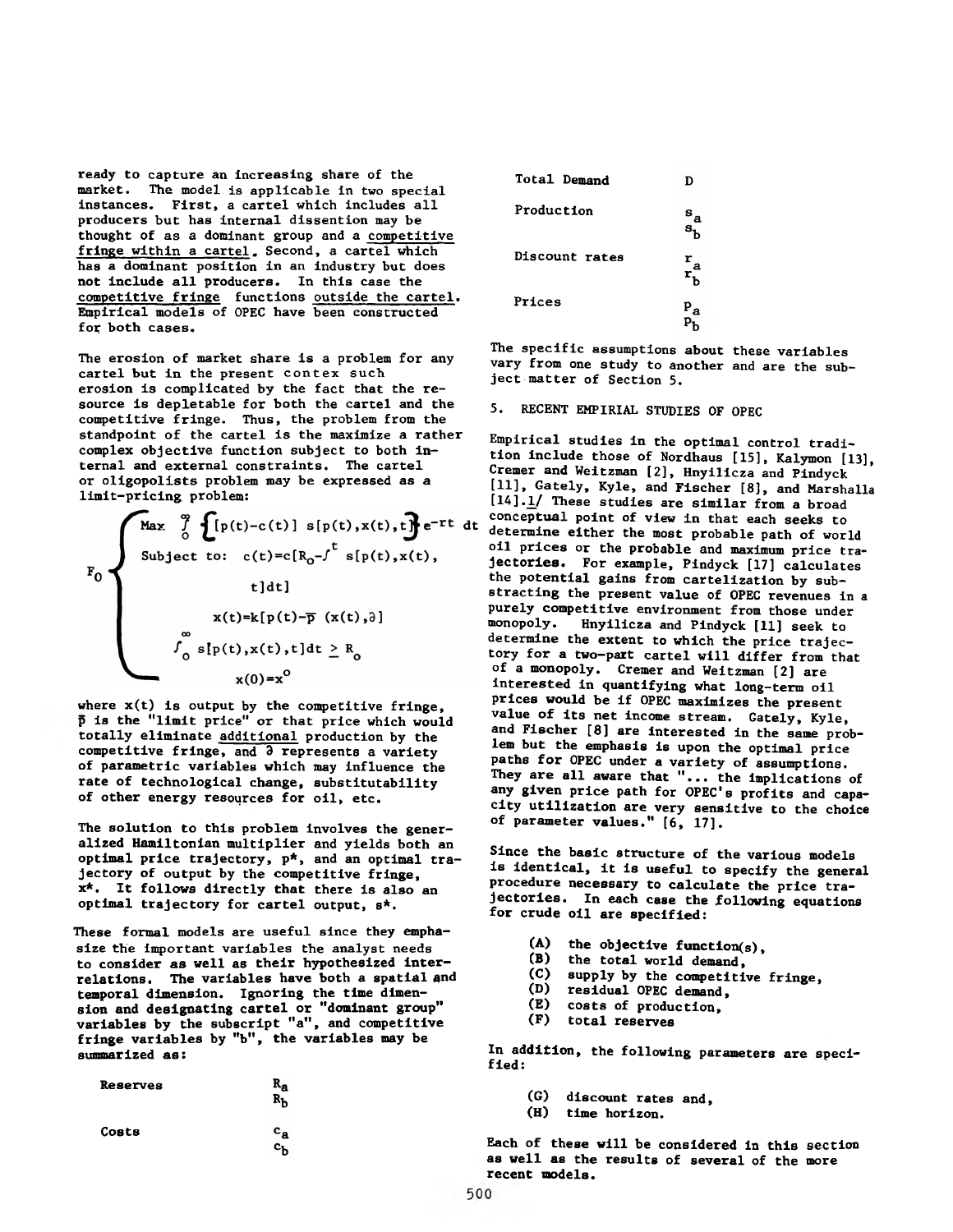ready to capture an increasing share of the market. The model is applicable in two special instances. First, a cartel which includes all producers but has internal dissention may be thought of as a dominant group and a competitive fringe within a cartel. Second, a cartel which has a dominant position in an industry but does not include all producers. In this case the competitive fringe functions outside the cartel. Empirical models of OPEC have been constructed for both cases.

The erosion of market share is a problem for any cartel but in the present contex such erosion is complicated by the fact that the resource is depletable for both the cartel and the competitive fringe. Thus, the problem from the standpoint of the cartel is the maximize a rather complex objective function subject to both internal and external constraints. The cartel or oligopolists problem may be expressed as a limit-pricing problem:

$$
F_0
$$
\n
$$
F_0
$$
\n
$$
F_1(x) = \int_0^{\frac{\pi}{2}} \int_0^{\frac{\pi}{2}} [p(t) - c(t)] s[p(t), x(t), t] e^{-rt} dt
$$
\n
$$
t] dt
$$
\n
$$
x(t) = k[p(t) - \overline{p}(x(t), t)]
$$
\n
$$
\int_0^{\infty} s[p(t), x(t), t] dt \ge R_0
$$
\n
$$
x(0) = x^0
$$

where  $x(t)$  is output by the competitive fringe, p is the "limit price" or that price which would totally eliminate additional production by the competitive fringe, and  $\delta$  represents a variety of parametric variables which may influence the rate of technological change, substitutability of other energy resources for oil, etc.

The solution to this problem involves the generalized Hamiltonian multiplier and yields both an optimal price trajectory, p\*, and an optimal trajectory of output by the competitive fringe, x\*. It follows directly that there is also an optimal trajectory for cartel output, s\*.

These formal models are useful since they emphasize the important variables the analyst needs to consider as well as their hypothesized interrelations. The variables have both a spatial and temporal dimension. Ignoring the time dimension and designating cartel or "dominant group" variables by the subscript "a", and competitive fringe variables by "b", the variables may be summarized as:

| Reserves | $R_{\bf a}$                               |  |
|----------|-------------------------------------------|--|
| Costs    | $\mathbf{c}_\mathbf{a}$<br>с <sub>ћ</sub> |  |

| Total Demand   | D              |
|----------------|----------------|
| Production     | $\frac{a}{s}$  |
| Discount rates | $\frac{r}{r}a$ |
| Prices         | $P_{a}$        |

The specific assumptions about these variables vary from one study to another and are the subject matter of Section 5.

5. RECENT EMPIRIAL STUDIES OF OPEC

Empirical studies in the optimal control tradition include those of Nordhaus [15], Kalymon [13], Cremer and Weitzman [2], Hnyilicza and Pindyck [11], Gately, Kyle, and Fischer [8], and Marshalla [14].1/ These studies are similar from a broad conceptual point of view in that each seeks to determine either the most probable path of world oil prices or the probable and maximum price trajectories. For example, Pindyck [17] calculates the potential gains from cartelization by substracting the present value of OPEC revenues in a purely competitive environment from those under monopoly. Hnyilicza and Pindyck [11] seek to determine the extent to which the price trajectory for a two-part cartel will differ from that of a monopoly. Cremer and Weitzman [2] are interested in quantifying what long-term oil prices would be if OPEC maximizes the present value of its net income stream. Gately, Kyle, and Fischer [8] are interested in the same problem but the emphasis is upon the optimal price paths for OPEC under a variety of assumptions. They are all aware that "... the implications of any given price path for OPEC's profits and capacity utilization are very sensitive to the choice of parameter values." [6, 17],

Since the basic structure of the various models is identical, it is useful to specify the general procedure necessary to calculate the price trajectories. In each case the following equations for crude oil are specified:

- (A) the objective function(s),<br>(B) the total world demand.
- (B) the total world demand,<br>(C) supply by the competiti
- $(C)$  supply by the competitive fringe,<br>(D) residual OPEC demand.
- residual OPEC demand,
- (E) costs of production,
- (F) total reserves

In addition, the following parameters are specified:

- (G) discount rates and,
- (H) time horizon.

Each of these will be considered in this section as well as the results of several of the more recent models.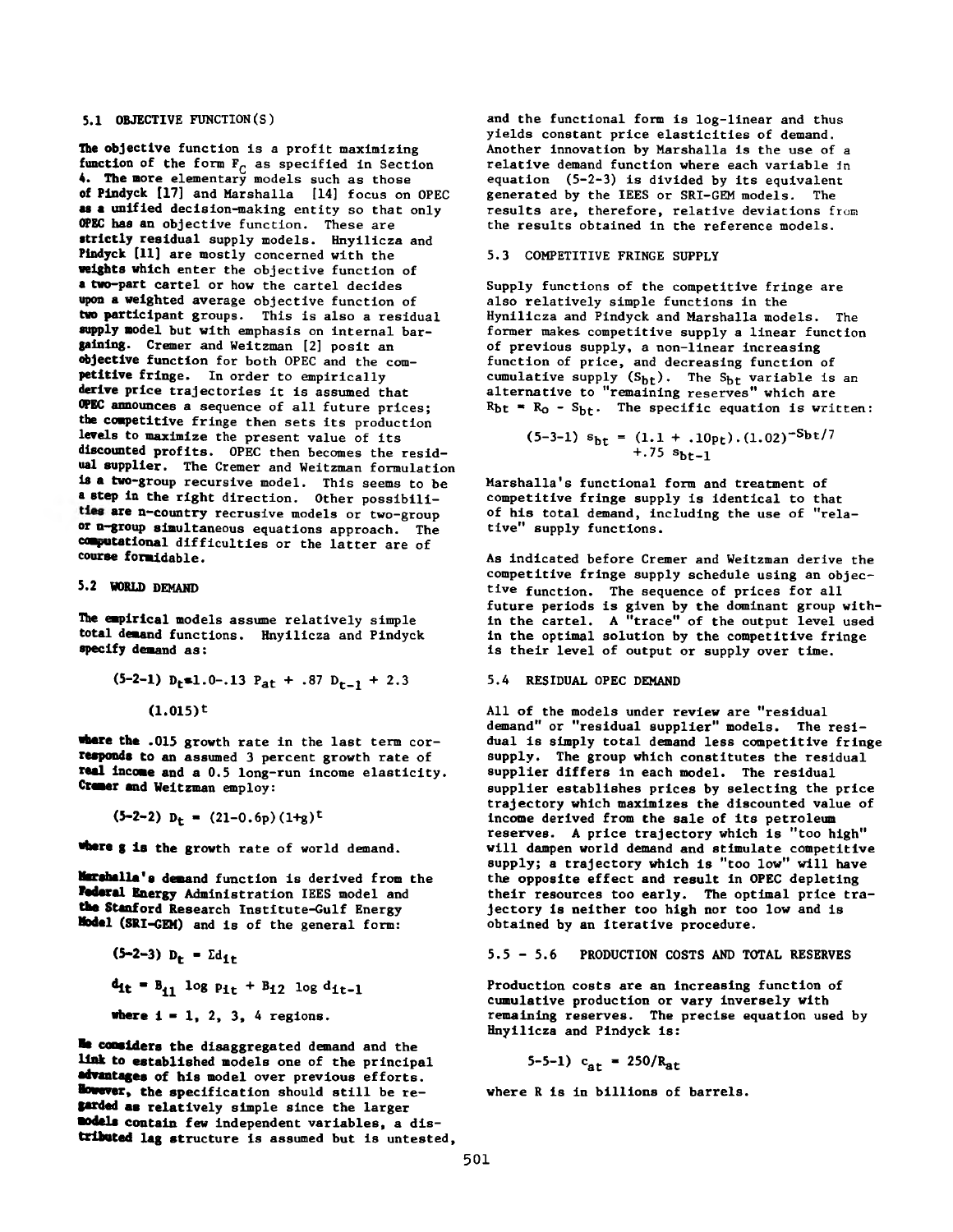# 5.1 OBJECTIVE FUNCTION (S)

The objective function is a profit maximizing function of the form  $F_{C}$  as specified in Section **4.** The more elementary models such as those of Pindyck [17] and Marshalla [14] focus on OPEC as a unified decision-making entity so that only OPEC has an objective function. These are strictly residual supply models. Hnyilicza and Pindyck [11] are mostly concerned with the weights which enter the objective function of **a** two-part cartel or how the cartel decides upon a weighted average objective function of two participant groups. This is also a residual supply model but with emphasis on internal bargaining. Cremer and Weitzman [2] posit an objective function for both OPEC and the competitive fringe. In order to empirically derive price trajectories it is assumed that OPEC announces a sequence of all future prices; the competitive fringe then sets its production levels to maximize the present value of its discounted profits. OPEC then becomes the residual supplier. The Cremer and Weitzman formulation is a two-group recursive model. This seems to be **a** step in the right direction. Other possibilities are n-country recrusive models or two-group or n-group simultaneous equations approach. The computational difficulties or the latter are of course formidable.

#### 5.2 WORLD DEMAND

The empirical models assume relatively simple total demand functions. Hnyilicza and Pindyck specify demand as:

$$
(5-2-1) D_t \cdot 1.0-.13 P_{at} + .87 D_{t-1} + 2.3
$$

$$
(1.015)^t
$$

**•here** the .015 growth rate in the last term cor**responds** to an assumed 3 percent growth rate of **real income** and a 0.5 long-run income elasticity. **Cremer and** Weitzman employ:

$$
(5-2-2) Dt = (21-0.6p) (1+g)t
$$

**■here g** is the growth rate of world demand.

**Marshalla'a demand** function is derived from the **Federal Energy Administration IEES model and the Stanford** Research Institute-Gulf Energy **Model** (SRI-GEM) and is of the general form:

$$
(5-2-3) D_t = \sum_{i=1}^{d} 1
$$
  
\n $d_{it} = B_{i1} \log p_{it} + B_{i2} \log d_{it-1}$   
\nwhere  $i = 1, 2, 3, 4$  regions.

**Me considers the** disaggregated demand and the **link to** established models one of the principal **advantages** of **his** model over previous efforts. **However, the** specification should still be re**tarded as** relatively simple since the larger **•odels contain** few independent variables, a dis**tributed lag** structure is assumed but is untested, and the functional form is log-linear and thus yields constant price elasticities of demand. Another innovation by Marshalla is the use of a relative demand function where each variable in equation (5-2-3) is divided by its equivalent generated by the IEES or SRI-GEM models. The results are, therefore, relative deviations from the results obtained in the reference models.

# 5.3 COMPETITIVE FRINGE SUPPLY

Supply functions of the competitive fringe are also relatively simple functions in the Hynilicza and Pindyck and Marshalla models. The former makes competitive supply a linear function of previous supply, a non-linear increasing function of price, and decreasing function of cumulative supply  $(S_{bt})$ . The  $S_{bt}$  variable is an alternative to "remaining reserves" which are  $R_{bt}$  =  $R_0$  -  $S_{bt}$ . The specific equation is written:

$$
(5-3-1) s_{\text{bt}} = (1.1 + .10 \text{pt}) \cdot (1.02)^{-5 \text{bt}} / 7
$$
  
+ .75 s\_{\text{bt}-1}

Marshalla's functional form and treatment of competitive fringe supply is identical to that of his total demand, including the use of "relative" supply functions.

As indicated before Cremer and Weitzman derive the competitive fringe supply schedule using an objective function. The sequence of prices for all future periods is given by the dominant group within the cartel. A "trace" of the output level used in the optimal solution by the competitive fringe is their level of output or supply over time.

#### 5.4 RESIDUAL OPEC DEMAND

All of the models under review are "residual demand" or "residual supplier" models. The residual is simply total demand less competitive fringe supply. The group which constitutes the residual supplier differs in each model. The residual supplier establishes prices by selecting the price trajectory which maximizes the discounted value of income derived from the sale of its petroleum reserves. A price trajectory which is "too high" will dampen world demand and stimulate competitive supply; a trajectory which is "too low" will have the opposite effect and result in OPEC depleting their resources too early. The optimal price trajectory is neither too high nor too low and is obtained by an iterative procedure.

#### 5.5 - 5.6 PRODUCTION COSTS AND TOTAL RESERVES

Production costs are an increasing function of cumulative production or vary inversely with remaining reserves. The precise equation used by Hnyilicza and Pindyck is:

5-5-1)  $c_{at}$  = 250/R<sub>at</sub>

where R is in billions of barrels.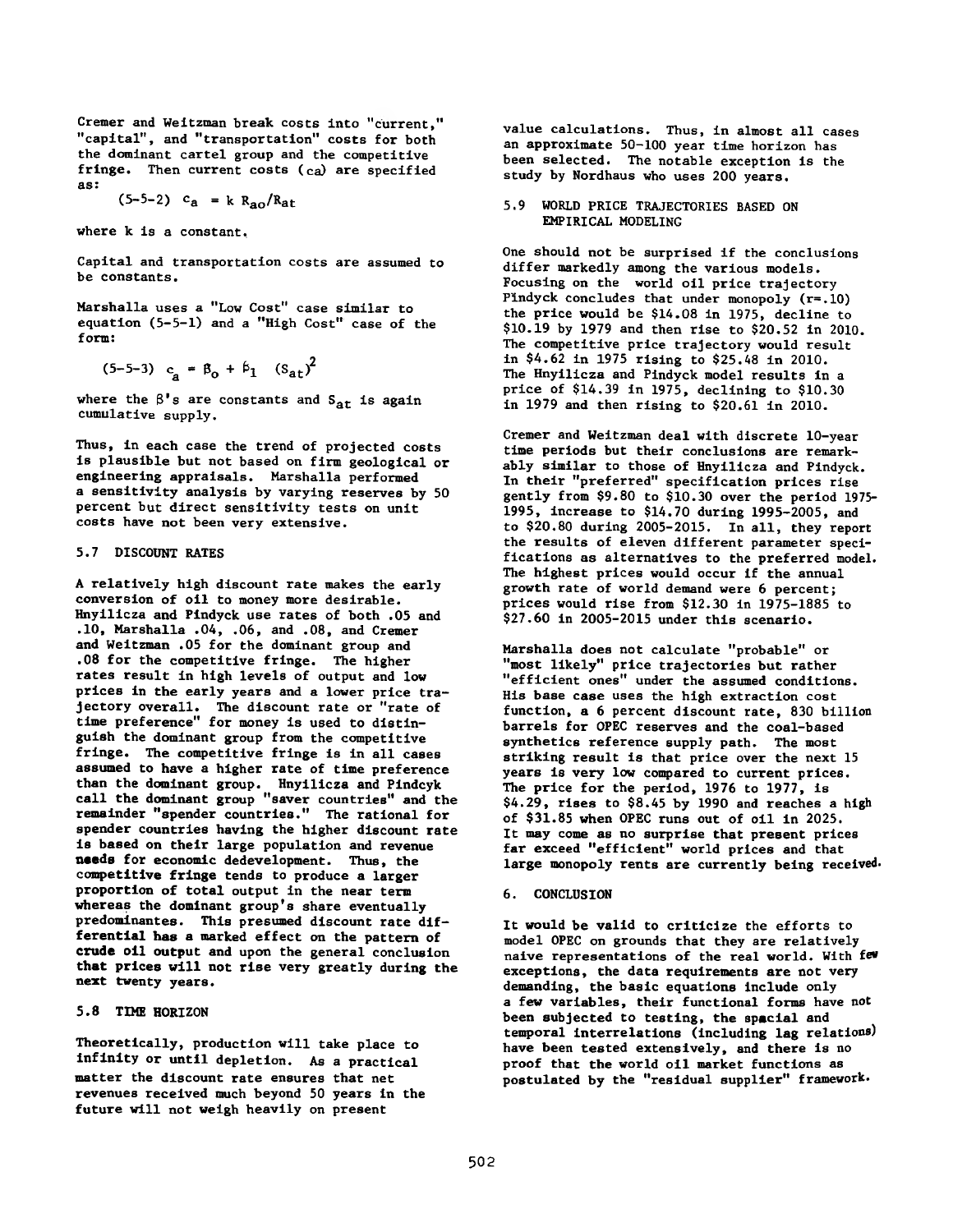Cremer and Weitzman break costs into "current," "capital", and "transportation" costs for both the dominant cartel group and the competitive fringe. Then current costs (ca) are specified as:

$$
(5-5-2)
$$
  $c_a = k R_{ao} / R_{at}$ 

where k is a constant.

Capital and transportation costs are assumed to be constants.

Marshalla uses a "Low Cost" case similar to equation (5-5-1) and a "High Cost" case of the form:

 $\ddot{\phantom{a}}$ 

$$
(5-5-3)
$$
  $c_a = \beta_0 + \beta_1$   $(s_{at})^2$ 

where the  $\beta$ 's are constants and  $S_{at}$  is again cumulative supply.

Thus, in each case the trend of projected costs is plausible but not based on firm geological or engineering appraisals. Marshalla performed a sensitivity analysis by varying reserves by 50 percent but direct sensitivity tests on unit costs have not been very extensive.

# 5.7 DISCOUNT RATES

A relatively high discount rate makes the early conversion of oil to money more desirable. Hnyilicza and Pindyck use rates of both .05 and .10, Marshalla .04, .06, and .08, and Cremer and Weitzman .05 for the dominant group and .08 for the competitive fringe. The higher rates result in high levels of output and low prices in the early years and a lower price trajectory overall. The discount rate or "rate of time preference" for money is used to distinguish the dominant group from the competitive fringe. The competitive fringe is in all cases assumed to have a higher rate of time preference than the dominant group. Hnyilicza and Pindcyk call the dominant group "saver countries" and the remainder "spender countries." The rational for spender countries having the higher discount rate is based on their large population and revenue **needs** for economic dedevelopment. Thus, the competitive fringe tends to produce a larger proportion of total output in the near term whereas the dominant group's share eventually predominantes. This presumed discount rate differential has a marked effect on the pattern of **crude** oil output and upon the general conclusion that prices will not rise very greatly during the next twenty years.

#### 5.8 TIME HORIZON

Theoretically, production will take place to infinity or until depletion. As a practical matter the discount rate ensures that net revenues received much beyond 50 years in the future will not weigh heavily on present

value calculations. Thus, in almost all cases an approximate 50-100 year time horizon has been selected. The notable exception is the study by Nordhaus who uses 200 years.

5.9 WORLD PRICE TRAJECTORIES BASED ON EMPIRICAL MODELING

One should not be surprised if the conclusions differ markedly among the various models. Focusing on the world oil price trajectory Pindyck concludes that under monopoly (r=.10) the price would be \$14.08 in 1975, decline to \$10.19 by 1979 and then rise to \$20.52 in 2010. The competitive price trajectory would result in \$4.62 in 1975 rising to \$25.48 in 2010. The Hnyilicza and Pindyck model results in a price of \$14.39 in 1975, declining to \$10.30 in 1979 and then rising to \$20.61 in 2010.

Cremer and Weitzman deal with discrete 10-year time periods but their conclusions are remarkably similar to those of Hnyilicza and Pindyck. In their "preferred" specification prices rise gently from \$9.80 to \$10.30 over the period 1975- 1995, increase to \$14.70 during 1995-2005, and to \$20.80 during 2005-2015. In all, they report the results of eleven different parameter specifications as alternatives to the preferred model. The highest prices would occur if the annual growth rate of world demand were 6 percent; prices would rise from \$12.30 in 1975-1885 to \$27.60 in 2005-2015 under this scenario.

Marshalla does not calculate "probable" or "most likely" price trajectories but rather "efficient ones" under the assumed conditions. His base case uses the high extraction cost function, a 6 percent discount rate, 830 billion barrels for OPEC reserves and the coal-based synthetics reference supply path. The most striking result is that price over the next 15 years is very low compared to current prices. The price for the period, 1976 to 1977, is \$4.29, rises to \$8.45 by 1990 and reaches a high of \$31.85 when OPEC runs out of oil in 2025. It may come as no surprise that present prices far exceed "efficient" world prices and that large monopoly rents are currently being received.

#### 6. CONCLUSION

It would be valid to criticize the efforts to model OPEC on grounds that they are relatively naive representations of the real world. With few exceptions, the data requirements are not very demanding, the basic equations include only a few variables, their functional forms have not been subjected to testing, the special and temporal interrelations (including lag relations) have been tested extensively, and there is no proof that the world oil market functions as postulated by the "residual supplier" framework.